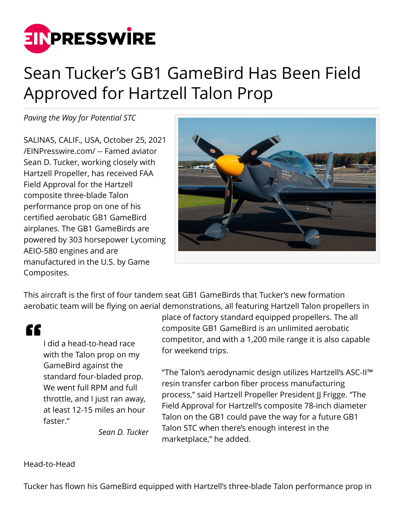

## Sean Tucker's GB1 GameBird Has Been Field Approved for Hartzell Talon Prop

*Paving the Way for Potential STC*

SALINAS, CALIF., USA, October 25, 2021 [/EINPresswire.com/](http://www.einpresswire.com) -- Famed aviator Sean D. Tucker, working closely with Hartzell Propeller, has received FAA Field Approval for the Hartzell composite three-blade Talon performance prop on one of his certified aerobatic GB1 GameBird airplanes. The GB1 GameBirds are powered by 303 horsepower Lycoming AEIO-580 engines and are manufactured in the U.S. by Game Composites.



This aircraft is the first of four tandem seat GB1 GameBirds that Tucker's new formation aerobatic team will be flying on aerial demonstrations, all featuring Hartzell Talon propellers in

"

I did a head-to-head race with the Talon prop on my GameBird against the standard four-bladed prop. We went full RPM and full throttle, and I just ran away, at least 12-15 miles an hour faster."

*Sean D. Tucker*

place of factory standard equipped propellers. The all composite GB1 GameBird is an unlimited aerobatic competitor, and with a 1,200 mile range it is also capable for weekend trips.

"The Talon's aerodynamic design utilizes Hartzell's ASC-II™ resin transfer carbon fiber process manufacturing process," said Hartzell Propeller President II Frigge. "The Field Approval for Hartzell's composite 78-inch diameter Talon on the GB1 could pave the way for a future GB1 Talon STC when there's enough interest in the marketplace," he added.

Head-to-Head

Tucker has flown his GameBird equipped with Hartzell's three-blade Talon performance prop in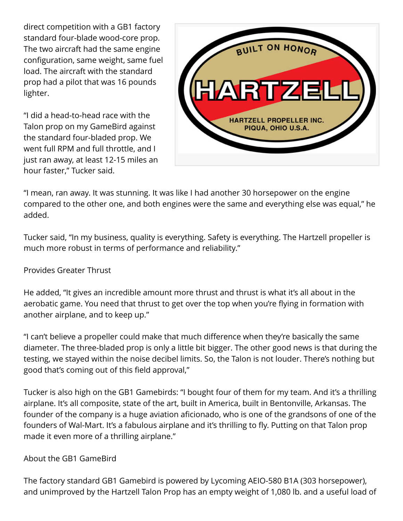direct competition with a GB1 factory standard four-blade wood-core prop. The two aircraft had the same engine configuration, same weight, same fuel load. The aircraft with the standard prop had a pilot that was 16 pounds lighter.

"I did a head-to-head race with the Talon prop on my GameBird against the standard four-bladed prop. We went full RPM and full throttle, and I just ran away, at least 12-15 miles an hour faster," Tucker said.



"I mean, ran away. It was stunning. It was like I had another 30 horsepower on the engine compared to the other one, and both engines were the same and everything else was equal," he added.

Tucker said, "In my business, quality is everything. Safety is everything. The Hartzell propeller is much more robust in terms of performance and reliability."

## Provides Greater Thrust

He added, "It gives an incredible amount more thrust and thrust is what it's all about in the aerobatic game. You need that thrust to get over the top when you're flying in formation with another airplane, and to keep up."

"I can't believe a propeller could make that much difference when they're basically the same diameter. The three-bladed prop is only a little bit bigger. The other good news is that during the testing, we stayed within the noise decibel limits. So, the Talon is not louder. There's nothing but good that's coming out of this field approval,"

Tucker is also high on the GB1 Gamebirds: "I bought four of them for my team. And it's a thrilling airplane. It's all composite, state of the art, built in America, built in Bentonville, Arkansas. The founder of the company is a huge aviation aficionado, who is one of the grandsons of one of the founders of Wal-Mart. It's a fabulous airplane and it's thrilling to fly. Putting on that Talon prop made it even more of a thrilling airplane."

## About the GB1 GameBird

The factory standard GB1 Gamebird is powered by Lycoming AEIO-580 B1A (303 horsepower), and unimproved by the Hartzell Talon Prop has an empty weight of 1,080 lb. and a useful load of